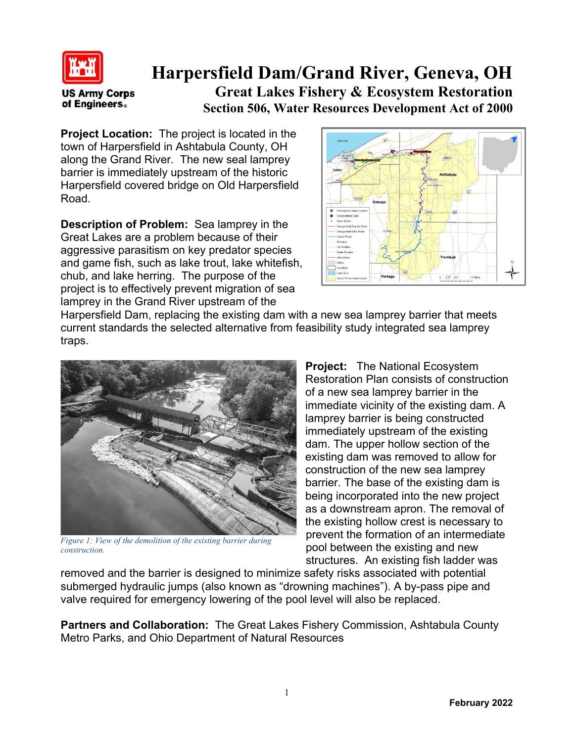

## **Harpersfield Dam/Grand River, Geneva, OH**

**US Army Corps** of Engineers.

**Great Lakes Fishery & Ecosystem Restoration Section 506, Water Resources Development Act of 2000**

**Project Location:** The project is located in the town of Harpersfield in Ashtabula County, OH along the Grand River. The new seal lamprey barrier is immediately upstream of the historic Harpersfield covered bridge on Old Harpersfield Road.

**Description of Problem:** Sea lamprey in the Great Lakes are a problem because of their aggressive parasitism on key predator species and game fish, such as lake trout, lake whitefish, chub, and lake herring. The purpose of the project is to effectively prevent migration of sea lamprey in the Grand River upstream of the



Harpersfield Dam, replacing the existing dam with a new sea lamprey barrier that meets current standards the selected alternative from feasibility study integrated sea lamprey traps.



*Figure 1: View of the demolition of the existing barrier during construction.*

**Project:** The National Ecosystem Restoration Plan consists of construction of a new sea lamprey barrier in the immediate vicinity of the existing dam. A lamprey barrier is being constructed immediately upstream of the existing dam. The upper hollow section of the existing dam was removed to allow for construction of the new sea lamprey barrier. The base of the existing dam is being incorporated into the new project as a downstream apron. The removal of the existing hollow crest is necessary to prevent the formation of an intermediate pool between the existing and new structures. An existing fish ladder was

removed and the barrier is designed to minimize safety risks associated with potential submerged hydraulic jumps (also known as "drowning machines"). A by-pass pipe and valve required for emergency lowering of the pool level will also be replaced.

**Partners and Collaboration:** The Great Lakes Fishery Commission, Ashtabula County Metro Parks, and Ohio Department of Natural Resources